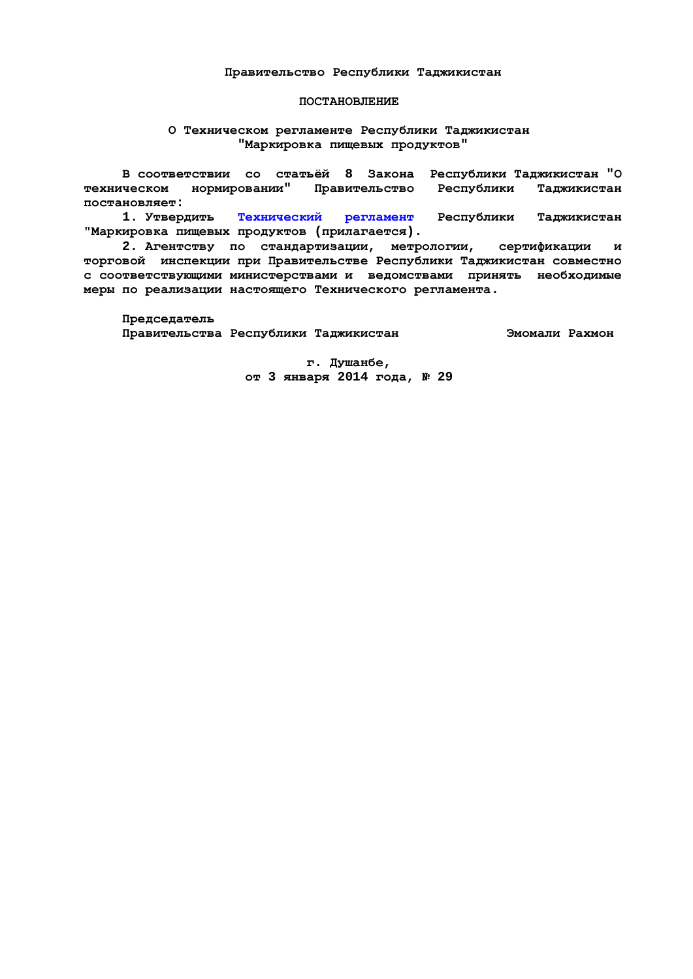#### Правительство Республики Талжикистан

#### **ПОСТАНОВЛЕНИЕ**

#### **О Техническом регламенте Республики Таджикистан** "Маркировка пищевых продуктов"

В соответствии со статьёй 8 Закона Республики Таджикистан "О техническом нормировании" Правительство Республики Таджикистан постановляет:

1. Утвердить Технический регламент Республики Таджикистан **Ɇɚɪɤɢɪɨɜɤɚɩɢɳɟɜɵɯɩɪɨɞɭɤɬɨɜ (ɩɪɢɥɚɝɚɟɬɫɹ).** 

2. Агентству по стандартизации, метрологии, сертификации и торговой инспекции при Правительстве Республики Таджикистан совместно с соответствующими министерствами и ведомствами принять необходимые меры по реализации настоящего Технического регламента.

 $\Pi$ редседатель

Правительства Республики Таджикистан **Висманта В**эмомали Рахмон

 **ɝ. Ⱦɭɲɚɧɛɟ, ɨɬ 3 ɹɧɜɚɪɹ 2014 ɝɨɞɚ, ʋ 29**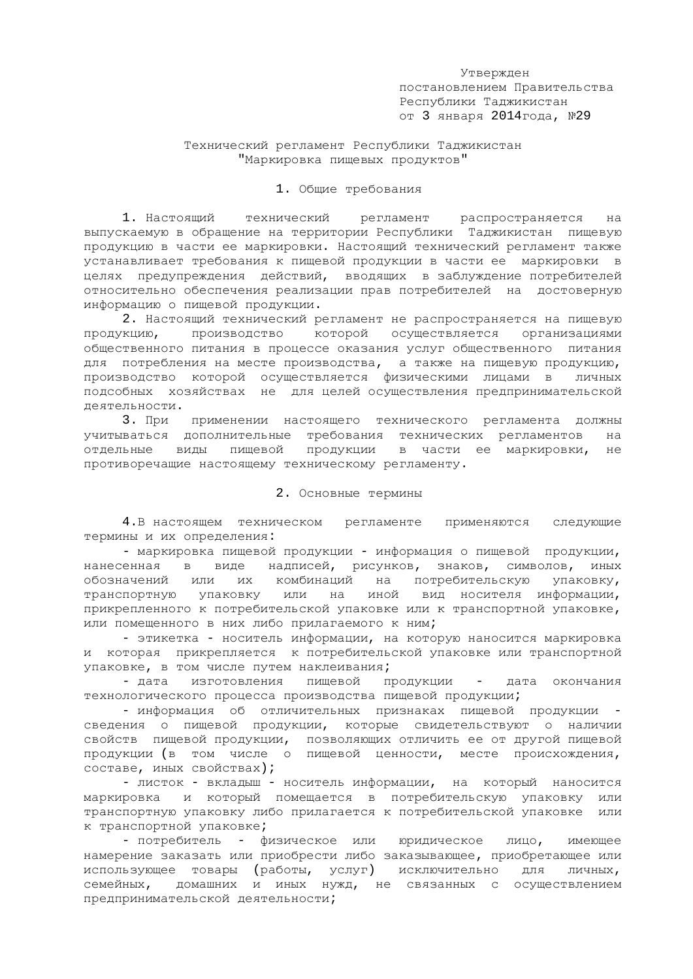Утвержден постановлением Правительства Республики Таджикистан от 3 января 2014 года, №29

## Технический регламент Республики Таджикистан "Маркировка пищевых продуктов"

#### 1. Общие требования

1. Настоящий технический регламент распространяется на выпускаемую в обращение на территории Республики Таджикистан пищевую продукцию в части ее маркировки. Настоящий технический регламент также устанавливает требования к пищевой продукции в части ее маркировки в целях предупреждения действий, вводящих в заблуждение потребителей относительно обеспечения реализации прав потребителей на достоверную информацию о пищевой продукции.

2. Настоящий технический регламент не распространяется на пищевую продукцию, производство которой осуществляется организациями общественного питания в процессе оказания услуг общественного питания для потребления на месте производства, а также на пищевую продукцию, производство которой осуществляется физическими лицами в личных подсобных хозяйствах не для целей осуществления предпринимательской деятельности.

3. При применении настоящего технического регламента должны учитываться дополнительные требования технических регламентов на отдельные виды пищевой продукции в части ее маркировки, не противоречащие настоящему техническому регламенту.

#### 2. Основные термины

4.В настоящем техническом регламенте применяются следующие термины и их определения:

- маркировка пищевой продукции - информация о пищевой продукции, нанесенная в виде надписей, рисунков, знаков, символов, иных обозначений или их комбинаций на потребительскую упаковку,<br>транспортную упаковку или на иной вид носителя информации, транспортную упаковку или на иной прикрепленного к потребительской упаковке или к транспортной упаковке, или помещенного в них либо прилагаемого к ним;

- этикетка - носитель информации, на которую наносится маркировка и которая прикрепляется к потребительской упаковке или транспортной упаковке, в том числе путем наклеивания;

- дата изготовления пищевой продукции - дата окончания технологического процесса производства пищевой продукции;

- информация об отличительных признаках пищевой продукции сведения о пищевой продукции, которые свидетельствуют о наличии свойств пищевой продукции, позволяющих отличить ее от другой пищевой продукции (в том числе о пищевой ценности, месте происхождения, составе, иных свойствах);

- листок - вкладыш - носитель информации, на который наносится маркировка и который помещается в потребительскую упаковку или транспортную упаковку либо прилагается к потребительской упаковке или к транспортной упаковке;

- потребитель - физическое или юридическое лицо, имеющее намерение заказать или приобрести либо заказывающее, приобретающее или использующее товары (работы, услуг) исключительно для личных, семейных, домашних и иных нужд, не связанных с осуществлением предпринимательской деятельности;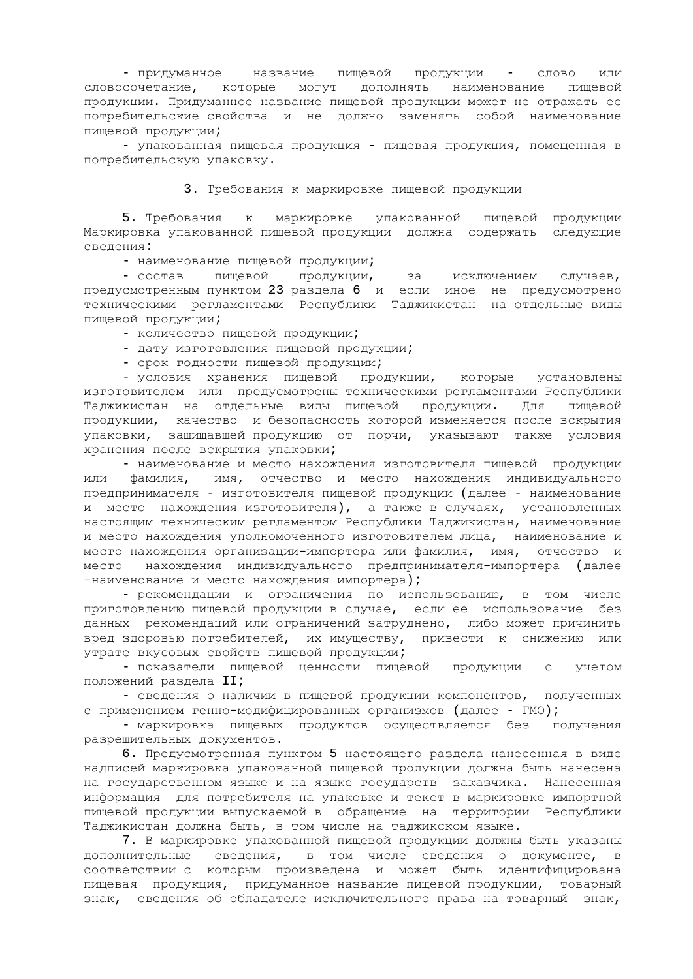- придуманное название пищевой продукции - слово или словосочетание, которые могут дополнять наименование пищевой продукции. Придуманное название пищевой продукции может не отражать ее потребительские свойства и не должно заменять собой наименование пищевой продукции;

- упакованная пищевая продукция - пищевая продукция, помещенная в потребительскую упаковку.

3. Требования к маркировке пищевой продукции

5. Требования к маркировке упакованной пищевой продукции Маркировка упакованной пищевой продукции должна содержать следующие сведения:

- наименование пищевой продукции;

- состав пищевой продукции, за исключением случаев, предусмотренным пунктом 23 раздела 6 и если иное не предусмотрено техническими регламентами Республики Таджикистан на отдельные виды пищевой продукции;

- количество пищевой продукции;

- дату изготовления пищевой продукции;

- срок годности пищевой продукции;

- условия хранения пищевой продукции, которые установлены изготовителем или предусмотрены техническими регламентами Республики Таджикистан на отдельные виды пищевой продукции. Для пищевой продукции, качество и безопасность которой изменяется после вскрытия упаковки, защищавшей продукцию от порчи, указывают также условия хранения после вскрытия упаковки;

- наименование и место нахождения изготовителя пищевой продукции или фамилия, имя, отчество и место нахождения индивидуального предпринимателя - изготовителя пищевой продукции (далее - наименование ъ<br>и место нахождения изготовителя), а также в случаях, установленных настоящим техническим регламентом Республики Таджикистан, наименование и место нахождения уполномоченного изготовителем лица, наименование и место нахождения организации-импортера или фамилия, имя, отчество и место нахождения индивидуального предпринимателя-импортера (далее -наименование и место нахождения импортера);

- рекомендации и ограничения по использованию, в том числе приготовлению пищевой продукции в случае, если ее использование без данных рекомендаций или ограничений затруднено, либо может причинить вред здоровью потребителей, их имуществу, привести к снижению или утрате вкусовых свойств пищевой продукции;

- показатели пищевой ценности пищевой продукции с учетом положений раздела II;

- сведения о наличии в пищевой продукции компонентов, полученных с применением генно-модифицированных организмов (далее - ГМО);

- маркировка пищевых продуктов осуществляется без получения разрешительных документов.

6. Предусмотренная пунктом 5 настоящего раздела нанесенная в виде надписей маркировка упакованной пищевой продукции должна быть нанесена на государственном языке и на языке государств заказчика. Нанесенная информация для потребителя на упаковке и текст в маркировке импортной пищевой продукции выпускаемой в обращение на территории Республики Таджикистан должна быть, в том числе на таджикском языке.

7. В маркировке упакованной пищевой продукции должны быть указаны дополнительные сведения, в том числе сведения о документе, в соответствии с которым произведена и может быть идентифицирована пищевая продукция, придуманное название пищевой продукции, товарный знак, сведения об обладателе исключительного права на товарный знак,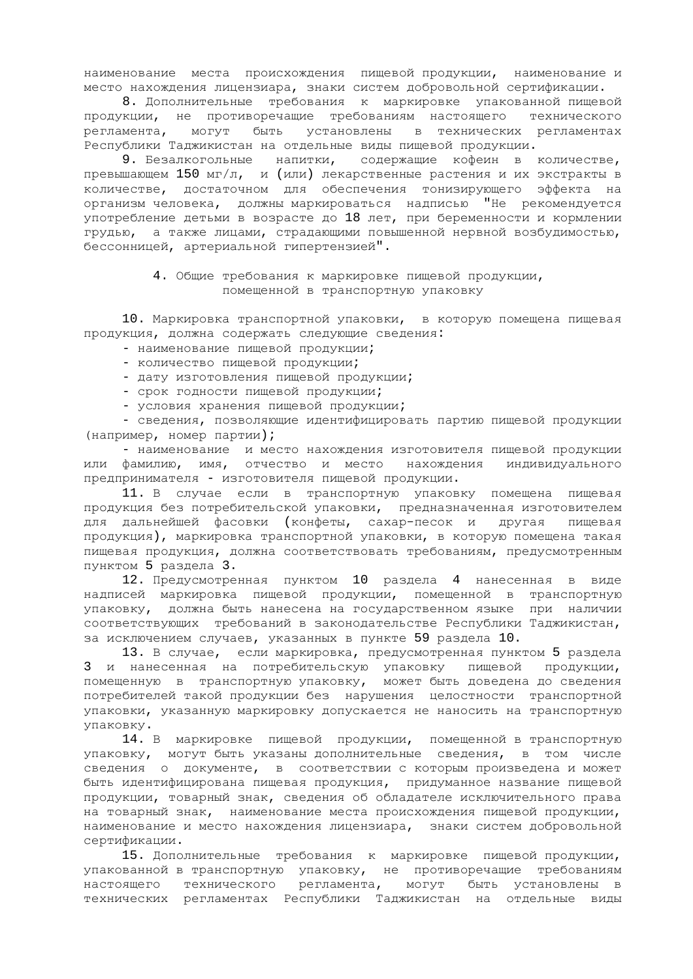наименование места происхождения пищевой продукции, наименование и место нахождения лицензиара, знаки систем добровольной сертификации.

8. Дополнительные требования к маркировке упакованной пищевой продукции, не противоречащие требованиям настоящего технического регламента, могут быть установлены в технических регламентах Республики Таджикистан на отдельные виды пищевой продукции.

9. Безалкогольные напитки, содержащие кофеин в количестве, превышающем 150 мг/л, и (или) лекарственные растения и их экстракты в количестве, достаточном для обеспечения тонизирующего эффекта на организм человека, должны маркироваться надписью "Не рекомендуется употребление детьми в возрасте до 18 лет, при беременности и кормлении грудью, а также лицами, страдающими повышенной нервной возбудимостью, бессонницей, артериальной гипертензией".

## 4. Общие требования к маркировке пищевой продукции, помещенной в транспортную упаковку

10. Маркировка транспортной упаковки, в которую помещена пищевая продукция, должна содержать следующие сведения:

- наименование пищевой продукции;
- количество пищевой продукции;
- дату изготовления пищевой продукции;
- срок годности пищевой продукции;
- условия хранения пищевой продукции;

- сведения, позволяющие идентифицировать партию пищевой продукции (например, номер партии);

- наименование и место нахождения изготовителя пищевой продукции или фамилию, имя, отчество и место нахождения индивидуального предпринимателя - изготовителя пищевой продукции.

11. В случае если в транспортную упаковку помещена пищевая продукция без потребительской упаковки, предназначенная изготовителем для дальнейшей фасовки (конфеты, сахар-песок и другая пищевая продукция), маркировка транспортной упаковки, в которую помещена такая пищевая продукция, должна соответствовать требованиям, предусмотренным пунктом 5 раздела 3.

12. Предусмотренная пунктом 10 раздела 4 нанесенная в виде надписей маркировка пищевой продукции, помещенной в транспортную упаковку, должна быть нанесена на государственном языке при наличии соответствующих требований в законодательстве Республики Таджикистан, за исключением случаев, указанных в пункте 59 раздела 10.

13. В случае, если маркировка, предусмотренная пунктом 5 раздела 3 и нанесенная на потребительскую упаковку пищевой продукции, помещенную в транспортную упаковку, может быть доведена до сведения потребителей такой продукции без нарушения целостности транспортной упаковки, указанную маркировку допускается не наносить на транспортную νπaκoвκy.

14. В маркировке пищевой продукции, помещенной в транспортную упаковку, могут быть указаны дополнительные сведения, в том числе сведения о документе, в соответствии с которым произведена и может быть идентифицирована пищевая продукция, придуманное название пищевой продукции, товарный знак, сведения об обладателе исключительного права на товарный знак, наименование места происхождения пищевой продукции, наименование и место нахождения лицензиара, знаки систем добровольной сертификации.

15. Дополнительные требования к маркировке пищевой продукции, упакованной в транспортную упаковку, не противоречащие требованиям настоящего технического регламента, могут быть установлены в технических регламентах Республики Таджикистан на отдельные виды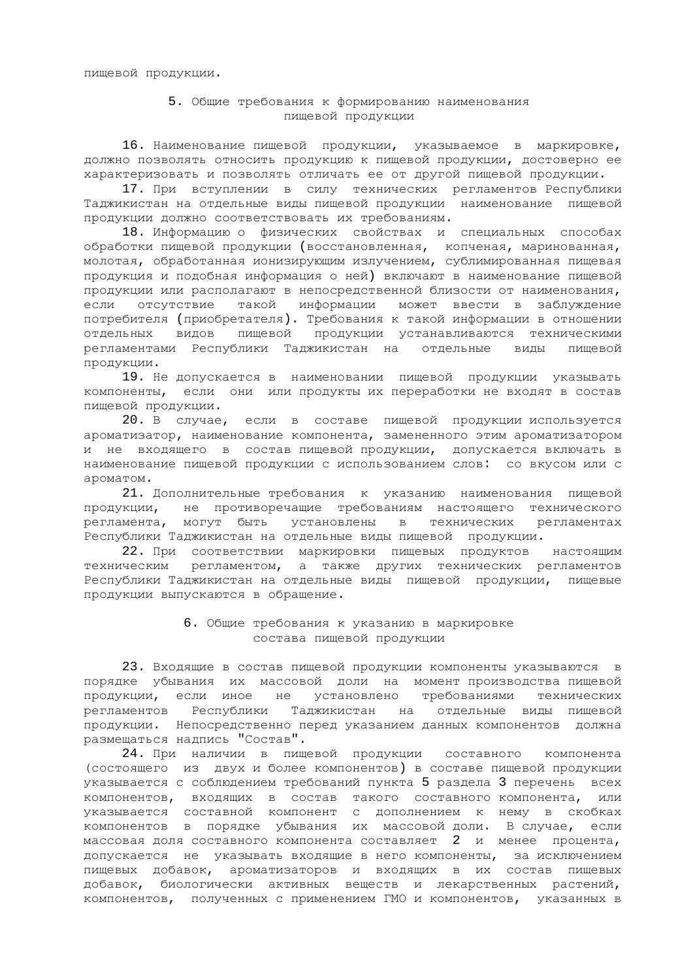пищевой продукции.

## 5. Общие требования к формированию наименования пищевой продукции

16. Наименование пищевой продукции, указываемое в маркировке, должно позволять относить продукцию к пищевой продукции, достоверно ее характеризовать и позволять отличать ее от другой пищевой продукции.

17. При вступлении в силу технических регламентов Республики Таджикистан на отдельные виды пищевой продукции наименование пищевой продукции должно соответствовать их требованиям.

18. Информацию о физических свойствах и специальных способах обработки пищевой продукции (восстановленная, копченая, маринованная, молотая, обработанная ионизирующим излучением, сублимированная пищевая продукция и подобная информация о ней) включают в наименование пищевой продукции или располагают в непосредственной близости от наименования, если отсутствие такой информации может ввести в заблуждение потребителя (приобретателя). Требования к такой информации в отношении отдельных видов пищевой продукции устанавливаются техническими регламентами Республики Таджикистан на отдельные виды пищевой продукции.

19. Не допускается в наименовании пищевой продукции указывать компоненты, если они или продукты их переработки не входят в состав пищевой продукции.

20. В случае, если в составе пищевой продукции используется ароматизатор, наименование компонента, замененного этим ароматизатором и не входящего в состав пищевой продукции, допускается включать в наименование пищевой продукции с использованием слов: со вкусом или с ароматом.

21. Дополнительные требования к указанию наименования пищевой продукции, не противоречащие требованиям настоящего технического регламента, могут быть установлены в технических регламентах Республики Таджикистан на отдельные виды пищевой продукции.

22. При соответствии маркировки пищевых продуктов настоящим техническим регламентом, а также других технических регламентов Республики Таджикистан на отдельные виды пищевой продукции, пищевые продукции выпускаются в обращение.

#### 6. Общие требования к указанию в маркировке состава пищевой продукции

23. Входящие в состав пищевой продукции компоненты указываются в порядке убывания их массовой доли на момент производства пищевой продукции, если иное не установлено требованиями технических регламентов Республики Таджикистан на отдельные виды пищевой продукции. Непосредственно перед указанием данных компонентов должна размещаться надпись "Состав".

24. При наличии в пищевой продукции составного компонента (состоящего из двух и более компонентов) в составе пищевой продукции указывается с соблюдением требований пункта 5 раздела 3 перечень всех компонентов, входящих в состав такого составного компонента, или указывается составной компонент с дополнением к нему в скобках компонентов в порядке убывания их массовой доли. В случае, если массовая доля составного компонента составляет 2 и менее процента, допускается не указывать входящие в него компоненты, за исключением пищевых добавок, ароматизаторов и входящих в их состав пищевых добавок, биологически активных веществ и лекарственных растений, компонентов, полученных с применением ГМО и компонентов, указанных в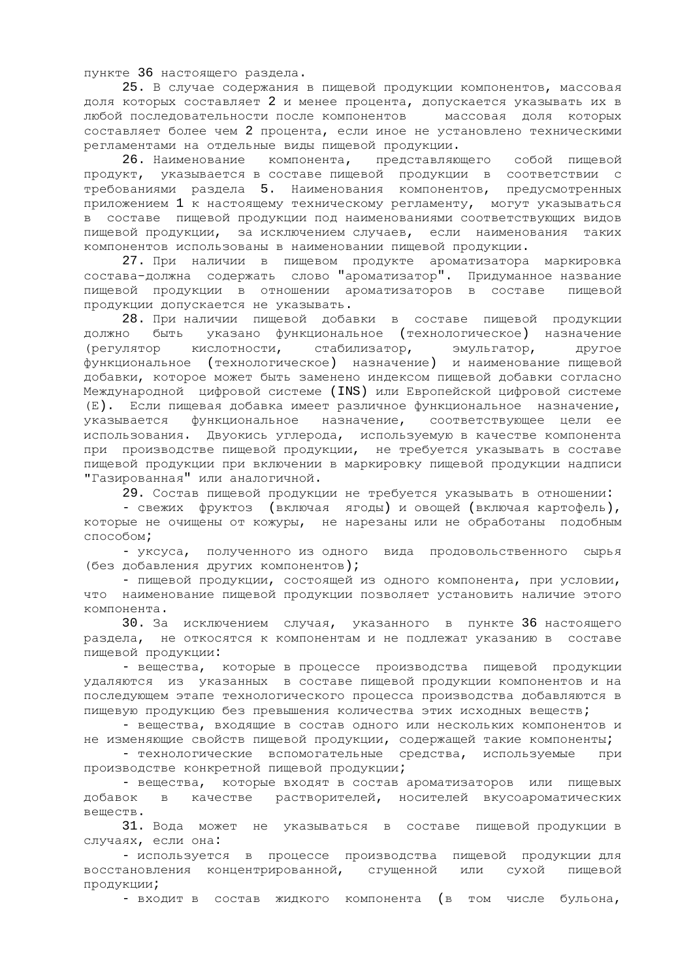пункте 36 настоящего раздела.

25. В случае содержания в пищевой продукции компонентов, массовая доля которых составляет 2 и менее процента, допускается указывать их в любой последовательности после компонентов массовая доля которых составляет более чем 2 процента, если иное не установлено техническими регламентами на отдельные виды пищевой продукции.

26. Наименование компонента, представляющего собой пищевой продукт, указывается в составе пищевой продукции в соответствии с -<br>требованиями раздела 5. Наименования компонентов, предусмотренных приложением 1 к настоящему техническому регламенту, могут указываться в составе пищевой продукции под наименованиями соответствующих видов пищевой продукции, за исключением случаев, если наименования таких компонентов использованы в наименовании пищевой продукции.

27. При наличии в пищевом продукте ароматизатора маркировка состава-должна содержать слово "ароматизатор". Придуманное название пищевой продукции в отношении ароматизаторов в составе пищевой продукции допускается не указывать.

28. При наличии пищевой добавки в составе пищевой продукции должно быть указано функциональное (технологическое) назначение (регулятор кислотности, стабилизатор, эмульгатор, другое функциональное (технологическое) назначение) и наименование пищевой добавки, которое может быть заменено индексом пищевой добавки согласно Международной цифровой системе (INS) или Европейской цифровой системе (Е). Если пищевая добавка имеет различное функциональное назначение, указывается функциональное назначение, соответствующее цели ее использования. Двуокись углерода, используемую в качестве компонента при производстве пищевой продукции, не требуется указывать в составе пищевой продукции при включении в маркировку пищевой продукции надписи "Газированная" или аналогичной.

29. Состав пищевой продукции не требуется указывать в отношении:

- свежих фруктоз (включая ягоды) и овощей (включая картофель), которые не очищены от кожуры, не нарезаны или не обработаны подобным cnocoбom;

- уксуса, полученного из одного вида продовольственного сырья (без добавления других компонентов);

- пищевой продукции, состоящей из одного компонента, при условии, что наименование пищевой продукции позволяет установить наличие этого компонента.

30. За исключением случая, указанного в пункте 36 настоящего раздела, не откосятся к компонентам и не подлежат указанию в составе пищевой продукции:

- вещества, которые в процессе производства пищевой продукции удаляются из указанных в составе пишевой продукции компонентов и на последующем этапе технологического процесса производства добавляются в пищевую продукцию без превышения количества этих исходных веществ;

- вещества, входящие в состав одного или нескольких компонентов и не изменяющие свойств пищевой продукции, содержащей такие компоненты;

- технологические вспомогательные средства, используемые при производстве конкретной пищевой продукции;

- вещества, которые входят в состав ароматизаторов или пищевых добавок в качестве растворителей, носителей вкусоароматических Bemects.

31. Вода может не указываться в составе пищевой продукции в случаях, если она:

- используется в процессе производства пищевой продукции для восстановления концентрированной, стущенной или сухой пищевой продукции;

- входит в состав жидкого компонента (в том числе бульона,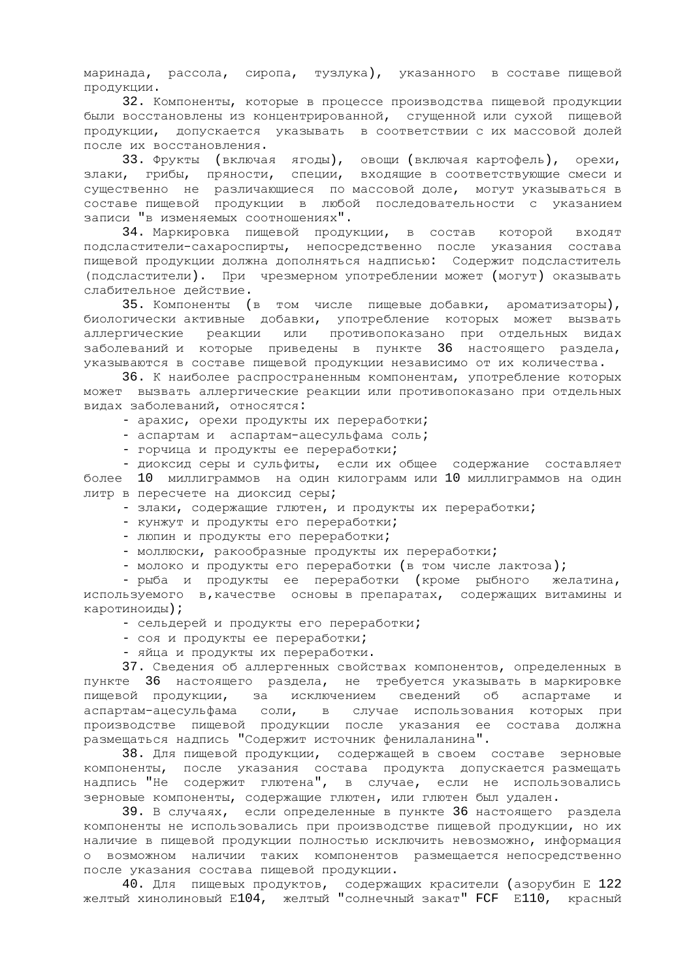маринада, рассола, сиропа, тузлука), указанного в составе пищевой продукции.

32. Компоненты, которые в процессе производства пищевой продукции были восстановлены из концентрированной, сгущенной или сухой пищевой продукции, допускается указывать в соответствии с их массовой долей после их восстановления.

33. Фрукты (включая ягоды), овощи (включая картофель), орехи, злаки, грибы, пряности, специи, входящие в соответствующие смеси и существенно не различающиеся по массовой доле, могут указываться в составе пищевой продукции в любой последовательности с указанием записи "в изменяемых соотношениях".

34. Маркировка пищевой продукции, в состав которой входят подсластители-сахароспирты, непосредственно после указания состава пищевой продукции должна дополняться надписью: Содержит подсластитель (подсластители). При чрезмерном употреблении может (могут) оказывать слабительное действие.

35. Компоненты (в том числе пищевые добавки, ароматизаторы), биологически активные добавки, употребление которых может вызвать аллергические реакции или противопоказано при отдельных видах заболеваний и которые приведены в пункте 36 настоящего раздела, указываются в составе пищевой продукции независимо от их количества.

36. К наиболее распространенным компонентам, употребление которых может вызвать аллергические реакции или противопоказано при отдельных видах заболеваний, относятся:

- арахис, орехи продукты их переработки;

- аспартам и аспартам-ацесульфама соль;

- горчица и продукты ее переработки;

- диоксид серы и сульфиты, если их общее содержание составляет более 10 миллиграммов на один килограмм или 10 миллиграммов на один литр в пересчете на диоксид серы;

- злаки, содержащие глютен, и продукты их переработки;

- кунжут и продукты его переработки;

- люпин и продукты его переработки;

- моллюски, ракообразные продукты их переработки;

- молоко и продукты его переработки (в том числе лактоза);

- рыба и продукты ее переработки (кроме рыбного желатина, используемого в, качестве основы в препаратах, содержащих витамины и каротиноиды);

- сельдерей и продукты его переработки;

- соя и продукты ее переработки;

- яйца и продукты их переработки.

37. Сведения об аллергенных свойствах компонентов, определенных в пункте 36 настоящего раздела, не требуется указывать в маркировке пищевой продукции, за исключением сведений об аспартаме и аспартам-ацесульфама соли, в случае использования которых при αυπαρταπ απουγνώφαπα συνάλι στους του του του στους του στου του του.<br>Προизводстве пищевой продукции после указания ее состава должна размещаться надпись "Содержит источник фенилаланина".

38. Для пищевой продукции, содержащей в своем составе зерновые компоненты, после указания состава продукта допускается размещать надпись "Не содержит глютена", в случае, если не использовались зерновые компоненты, содержащие глютен, или глютен был удален.

39. В случаях, если определенные в пункте 36 настоящего раздела компоненты не использовались при производстве пищевой продукции, но их наличие в пищевой продукции полностью исключить невозможно, информация о возможном наличии таких компонентов размещается непосредственно после указания состава пищевой продукции.

40. Для пищевых продуктов, содержащих красители (азорубин Е 122 желтый хинолиновый E104, желтый "солнечный закат" FCF E110, красный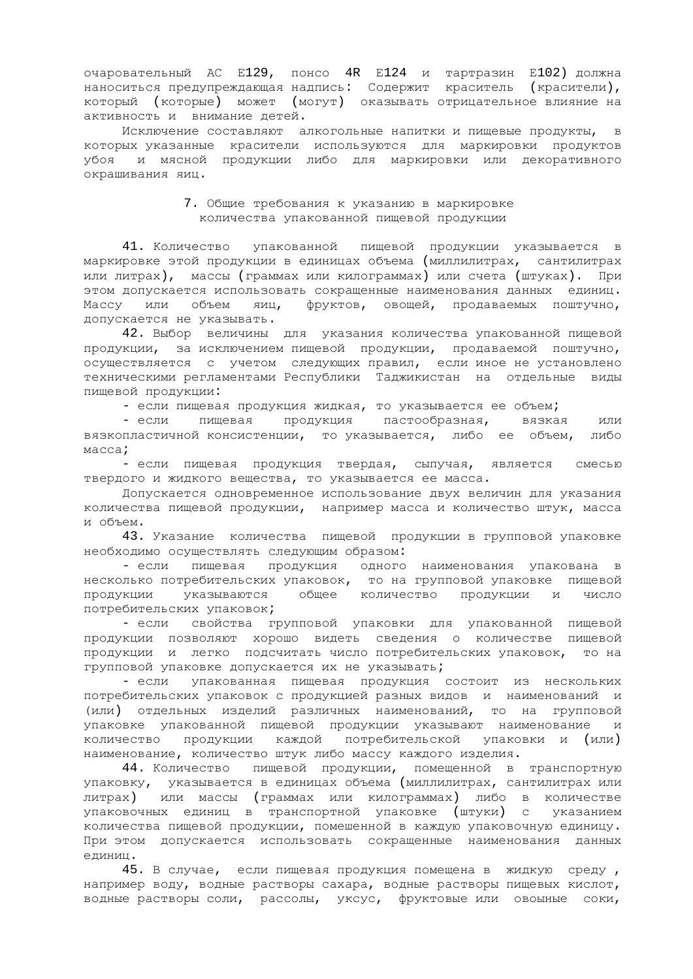очаровательный АС E129, понсо 4R E124 и тартразин E102) должна наноситься предупреждающая надпись: Содержит краситель (красители), который (которые) может (могут) оказывать отрицательное влияние на активность и внимание детей.

Исключение составляют алкогольные напитки и пищевые продукты, в которых указанные красители используются для маркировки продуктов убоя и мясной продукции либо для маркировки или декоративного окрашивания яиц.

#### 7. Общие требования к указанию в маркировке количества упакованной пищевой продукции

41. Количество упакованной пищевой продукции указывается в маркировке этой продукции в единицах объема (миллилитрах, сантилитрах или литрах), массы (граммах или килограммах) или счета (штуках). При этом допускается использовать сокращенные наименования данных единиц. Массу или объем яиц, фруктов, овощей, продаваемых поштучно, допускается не указывать.

42. Выбор величины для указания количества упакованной пищевой продукции, за исключением пищевой продукции, продаваемой поштучно, осуществляется с учетом следующих правил, если иное не установлено техническими регламентами Республики Таджикистан на отдельные виды пищевой продукции:

- если пищевая продукция жидкая, то указывается ее объем;

- если пищевая продукция пастообразная, вязкая или вязкопластичной консистенции, то указывается, либо ее объем, либо Macca;

- если пищевая продукция твердая, сыпучая, является смесью твердого и жидкого вещества, то указывается ее масса.

Допускается одновременное использование двух величин для указания количества пищевой продукции, например масса и количество штук, масса и объем.

43. Указание количества пищевой продукции в групповой упаковке необходимо осуществлять следующим образом:

- если пищевая продукция одного наименования упакована в несколько потребительских упаковок, то на групповой упаковке пищевой<br>продукции указываются общее количество продукции и число продукции указываются общее количество продукции и число потребительских упаковок;

- если свойства групповой упаковки для упакованной пищевой продукции позволяют хорошо видеть сведения о количестве пищевой продукции и легко подсчитать число потребительских упаковок, то на групповой упаковке допускается их не указывать;

- если упакованная пищевая продукция состоит из нескольких потребительских упаковок с продукцией разных видов и наименований и (или) отдельных изделий различных наименований, то на групповой упаковке упакованной пищевой продукции указывают наименование и количество продукции каждой потребительской упаковки и (или) наименование, количество штук либо массу каждого изделия.

44. Количество пищевой продукции, помещенной в транспортную упаковку, указывается в единицах объема (миллилитрах, сантилитрах или литрах) или массы (граммах или килограммах) либо в количестве упаковочных единиц в транспортной упаковке (штуки) с указанием количества пищевой продукции, помешенной в каждую упаковочную единицу. При этом допускается использовать сокращенные наименования данных елиниц.

45. В случае, если пищевая продукция помещена в жидкую среду, например воду, водные растворы сахара, водные растворы пищевых кислот, водные растворы соли, рассолы, уксус, фруктовые или овоыные соки,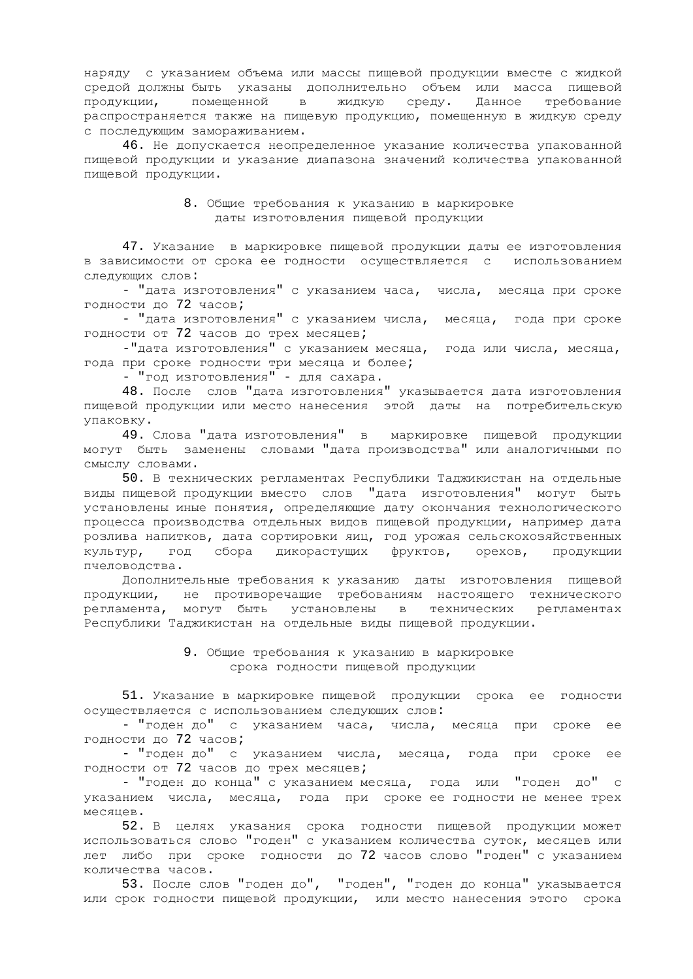наряду с указанием объема или массы пищевой продукции вместе с жидкой средой должны быть указаны дополнительно объем или масса пищевой продукции, помещенной в жидкую среду. Данное требование распространяется также на пищевую продукцию, помещенную в жидкую среду с последующим замораживанием.

46. Не допускается неопределенное указание количества упакованной пищевой продукции и указание диапазона значений количества упакованной пищевой продукции.

#### 8. Общие требования к указанию в маркировке даты изготовления пищевой продукции

47. Указание в маркировке пищевой продукции даты ее изготовления в зависимости от срока ее годности осуществляется с использованием следующих слов:

- "дата изготовления" с указанием часа, числа, месяца при сроке годности до 72 часов;

- "дата изготовления" с указанием числа, месяца, года при сроке годности от 72 часов до трех месяцев;

-"дата изготовления" с указанием месяца, года или числа, месяца, года при сроке годности три месяца и более;

- "год изготовления" - для сахара.

48. После слов "дата изготовления" указывается дата изготовления пищевой продукции или место нанесения этой даты на потребительскую упаковку.

49. Слова "дата изготовления" в маркировке пищевой продукции могут быть заменены словами "дата производства" или аналогичными по смыслу словами.

50. В технических регламентах Республики Таджикистан на отдельные виды пищевой продукции вместо слов "дата изготовления" могут быть установлены иные понятия, определяющие дату окончания технологического процесса производства отдельных видов пищевой продукции, например дата розлива напитков, дата сортировки яиц, год урожая сельскохозяйственных культур, год сбора дикорастущих фруктов, орехов, продукции пчеловодства.

Дополнительные требования к указанию даты изготовления пищевой продукции, не противоречащие требованиям настоящего технического регламента, могут быть установлены в технических регламентах Республики Таджикистан на отдельные виды пищевой продукции.

#### 9. Общие требования к указанию в маркировке срока годности пищевой продукции

51. Указание в маркировке пищевой продукции срока ее годности осуществляется с использованием следующих слов:

- "годен до" с указанием часа, числа, месяца при сроке ее годности до 72 часов;

- "годен до" с указанием числа, месяца, года при сроке ее годности от 72 часов до трех месяцев;

- "годен до конца" с указанием месяца, года или "годен до" с указанием числа, месяца, года при сроке ее годности не менее трех Mecaueb.

52. В целях указания срока годности пищевой продукции может использоваться слово "годен" с указанием количества суток, месяцев или лет либо при сроке годности до 72 часов слово "годен" с указанием количества часов.

53. После слов "годен до", "годен", "годен до конца" указывается или срок годности пищевой продукции, или место нанесения этого срока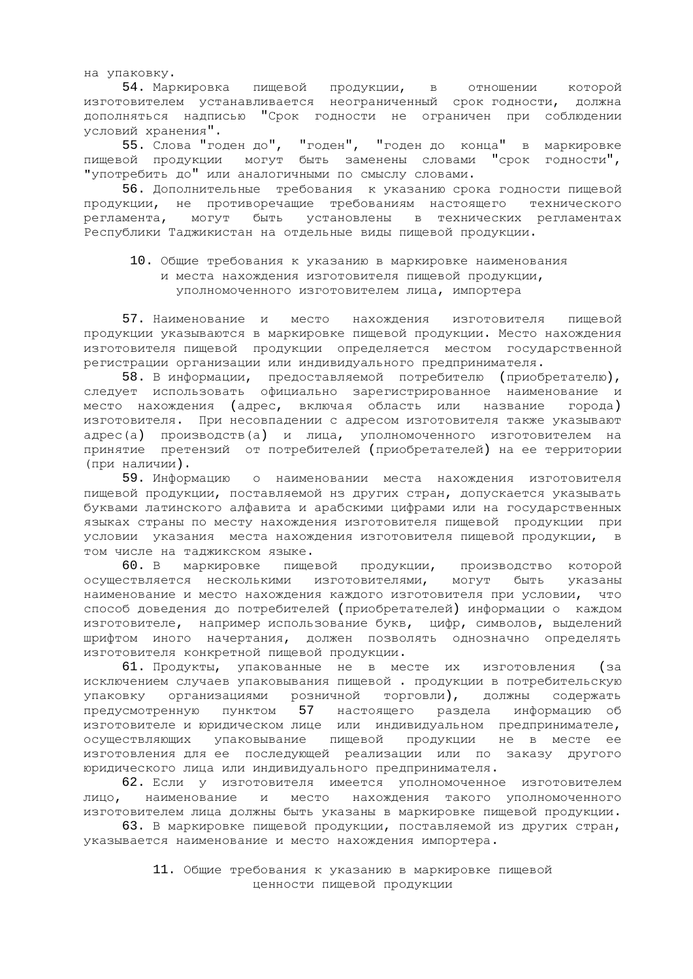на упаковку.

54. Маркировка пищевой продукции, в отношении которой изготовителем устанавливается неограниченный срок годности, должна дополняться надписью "Срок годности не ограничен при соблюдении условий хранения".

55. Слова "годен до", "годен", "годен до конца" в маркировке пищевой продукции могут быть заменены словами "срок годности", "употребить до" или аналогичными по смыслу словами.

-<br>56. Дополнительные требования к указанию срока годности пищевой продукции, не противоречащие требованиям настоящего технического регламента, могут быть установлены в технических регламентах Республики Таджикистан на отдельные виды пищевой продукции.

# 10. Общие требования к указанию в маркировке наименования и места нахождения изготовителя пищевой продукции, уполномоченного изготовителем лица, импортера

57. Наименование и место нахождения изготовителя пищевой продукции указываются в маркировке пищевой продукции. Место нахождения изготовителя пищевой продукции определяется местом государственной регистрации организации или индивидуального предпринимателя.

58. В информации, предоставляемой потребителю (приобретателю), следует использовать официально зарегистрированное наименование и место нахождения (адрес, включая область или название города) изготовителя. При несовпадении с адресом изготовителя также указывают адрес(а) производств(а) и лица, уполномоченного изготовителем на принятие претензий от потребителей (приобретателей) на ее территории (при наличии).

59. Информацию о наименовании места нахождения изготовителя пищевой продукции, поставляемой нз других стран, допускается указывать буквами латинского алфавита и арабскими цифрами или на государственных языках страны по месту нахождения изготовителя пищевой продукции при условии указания места нахождения изготовителя пищевой продукции, в том числе на таджикском языке.

60. В маркировке пищевой продукции, производство которой осуществляется несколькими изготовителями, могут быть указаны наименование и место нахождения каждого изготовителя при условии, что способ доведения до потребителей (приобретателей) информации о каждом изготовителе, например использование букв, цифр, символов, выделений шрифтом иного начертания, должен позволять однозначно определять изготовителя конкретной пищевой продукции.

61. Продукты, упакованные не в месте их изготовления (за исключением случаев упаковывания пищевой. продукции в потребительскую упаковку организациями розничной торговли), должны содержать предусмотренную пунктом 57 настоящего раздела информацию об изготовителе и юридическом лице или индивидуальном предпринимателе, осуществляющих упаковывание пищевой продукции не в месте ее изготовления для ее последующей реализации или по заказу другого юридического лица или индивидуального предпринимателя.

62. Если у изготовителя имеется уполномоченное изготовителем лицо, наименование и место нахождения такого уполномоченного изготовителем лица должны быть указаны в маркировке пищевой продукции.

63. В маркировке пищевой продукции, поставляемой из других стран, указывается наименование и место нахождения импортера.

> 11. Общие требования к указанию в маркировке пищевой ценности пищевой продукции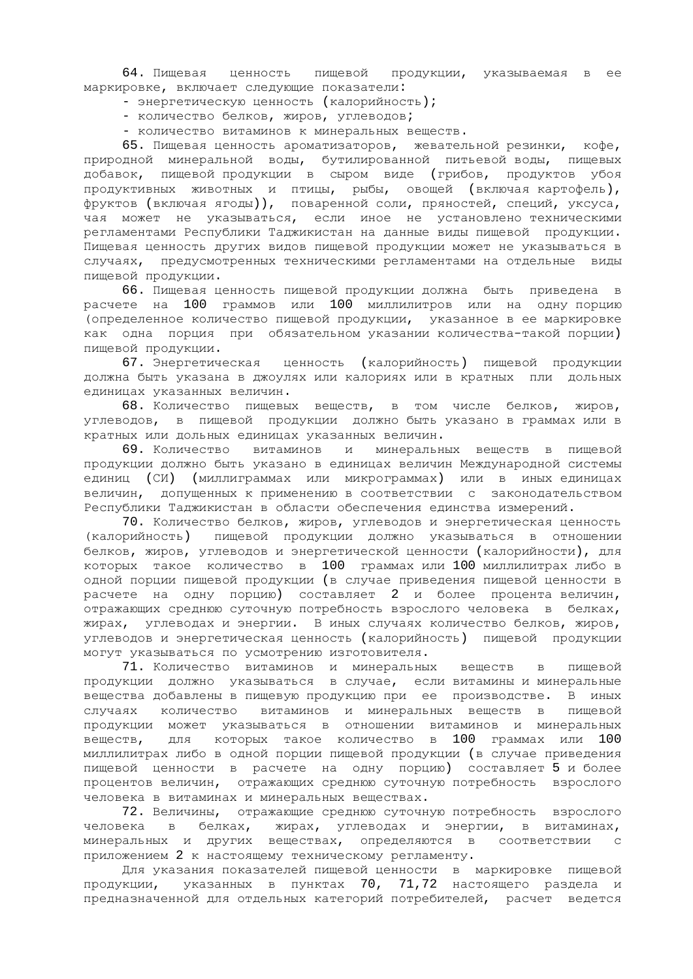64. Пищевая ценность пищевой продукции, указываемая в ее маркировке, включает следующие показатели:

- энергетическую ценность (калорийность);
- количество белков, жиров, углеводов;
- количество витаминов к минеральных веществ.

65. Пищевая ценность ароматизаторов, жевательной резинки, кофе, природной минеральной воды, бутилированной питьевойводы, пищевых добавок, пищевой продукции в сыром виде (грибов, продуктов убоя продуктивных животных и птицы, рыбы, овощей (включая картофель), фруктов (включая ягоды)), поваренной соли, пряностей, специй, уксуса, чая может не указываться, если иное не установлено техническими регламентами Республики Таджикистан на данные виды пищевой продукции. Пищевая ценность других видов пищевой продукции может не указываться в случаях, предусмотренных техническими регламентами на отдельные виды пишевой продукции.

66. Пищевая ценность пищевой продукции должна быть приведена в расчете на 100 граммов или 100 миллилитров или на одну-порцию (определенное количество пищевой продукции, указанное в ее маркировке как одна порция при обязательном указании количества-такой порции) пищевой продукции.

67. Энергетическая ценность (калорийность) пищевой продукции должна быть указана в джоулях или калориях или в кратных пли дольных единицах указанных величин.

68. Количество пищевых веществ, в том числе белков, жиров, углеводов, в пищевой продукции должно быть указано в граммах или в кратных или дольных единицах указанных величин.

69. Количество витаминов и минеральных веществ в пищевой продукции должно быть указано в единицах величин Международной системы единиц (СИ) (миллиграммах или микрограммах) или в иныхединицах величин, допущенных к применению в соответствии с законодательством Республики Таджикистан в области обеспечения единства измерений.

70. Количество белков, жиров, углеводов и энергетическая ценность (калорийность) пищевой продукции должно указываться в отношении белков, жиров, углеводов и энергетической ценности (калорийности), для которых такое количество в 100 граммах или 100 миллилитрах либо в одной порции пищевой продукции (в случае приведения пищевой ценности в расчете на одну порцию) составляет 2 и более процента величин, отражающих среднюю суточную потребность взрослого человека в белках, жирах, углеводах и энергии. В иных случаях количество белков, жиров, углеводов и энергетическая ценность (калорийность) пищевой продукции могут указываться по усмотрению изготовителя.

71. Количество витаминов и минеральных веществ в пищевой продукции должно указываться в случае, если витамины и минеральные вещества добавлены в пищевую продукцию при ее производстве. В иных случаях количество витаминов и минеральных веществ в пищевой продукции может указываться в отношении витаминов и минеральных веществ, для которых такое количество в 100 граммах или 100 миллилитрах либо в одной порции пищевой продукции (в случае приведения пищевой ценности в расчете на одну порцию) составляет 5 и более процентов величин, отражающих среднюю суточную потребность взрослого человека в витаминах и минеральных веществах.

72. Величины, отражающие среднюю суточную потребность взрослого человека в белках, жирах, углеводах и энергии, в витаминах, минеральных и других веществах, определяются в соответствии с приложением 2 к настоящему техническому регламенту.

Для указания показателей пищевой ценности в маркировке пищевой продукции, указанных в пунктах 70, 71,72 настоящего раздела и предназначенной для отдельных категорий потребителей, расчет ведется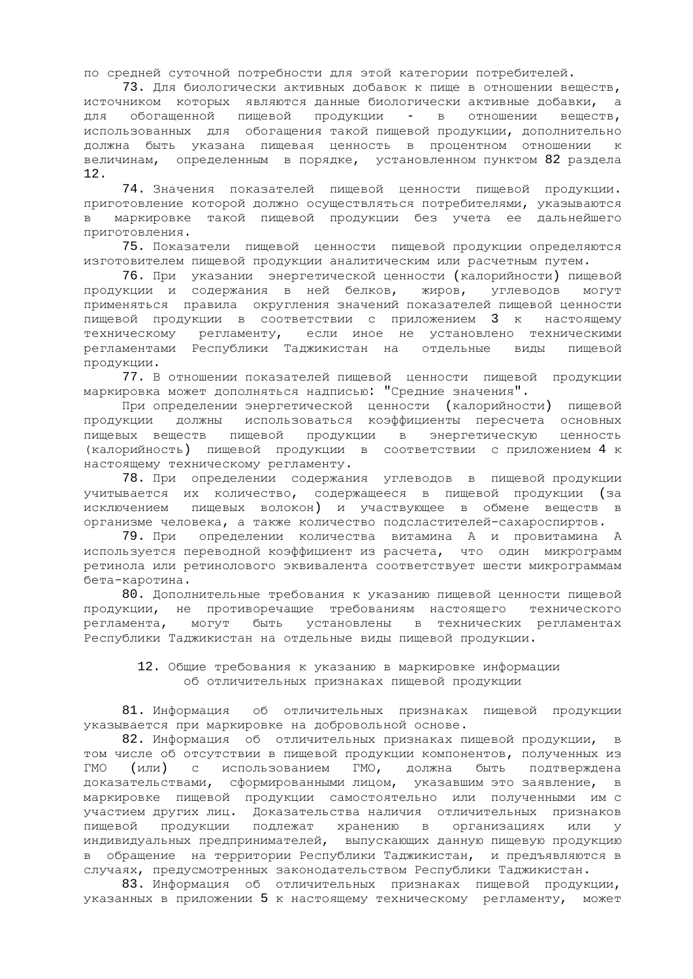по средней суточной потребности для этой категории потребителей.

73. Для биологически активных добавок к пище в отношении веществ, источником которых являются данные биологически активные добавки, а для обогащенной пищевой продукции - в отношении веществ, использованных для обогащения такой пищевой продукции, дополнительно должна быть указана пищевая ценность в процентном отношении к величинам, определенным в порядке, установленном пунктом 82 раздела 12.

74. Значения показателей пищевой ценности пищевой продукции. приготовление которой должно осуществляться потребителями, указываются в маркировке такой пищевой продукции без учета ее дальнейшего приготовления.

75. Показатели пищевой ценности пищевой продукции определяются изготовителем пищевой продукции аналитическим или расчетным путем.

76. При указании энергетической ценности (калорийности) пищевой продукции и содержания в ней белков, жиров, углеводов могут применяться правила округления значений показателей пищевой ценности пищевой продукции в соответствии с приложением 3 к настоящему техническому регламенту, если иное не установлено техническими регламентами Республики Таджикистан на отдельные виды пищевой продукции.

77. В отношении показателей пищевой ценности пищевой продукции маркировка может дополняться надписью: "Средние значения".

При определении энергетической ценности (калорийности) пищевой продукции должны использоваться коэффициенты пересчета основных пищевых веществ пищевой продукции в энергетическую ценность (калорийность) пищевой продукции в соответствии с приложением 4 к настоящему техническому регламенту.

78. При определении содержания углеводов в пищевой продукции учитывается их количество, содержащееся в пищевой продукции (за исключением пищевых волокон) и участвующее в обмене веществ в организме человека, а также количество подсластителей-сахароспиртов.

79. При определении количества витамина А и провитамина А используется переводной коэффициент из расчета, что один микрограмм ретинола или ретинолового эквивалента соответствует шести микрограммам бета-каротина.

80. Дополнительные требования к указанию пищевой ценности пищевой продукции, не противоречащие требованиям настоящего технического регламента, могут быть установлены в технических регламентах Республики Таджикистан на отдельные виды пищевой продукции.

## 12. Общие требования к указанию в маркировке информации об отличительных признаках пищевой продукции

81. Информация об отличительных признаках пищевой продукции указывается при маркировке на добровольной основе.

82. Информация об отличительных признаках пищевой продукции, в том числе об отсутствии в пищевой продукции компонентов, полученных из ГМО (или) с использованием ГМО, должна быть подтверждена ікоє листью, и ставить и станции тицом, указавшим это заявление, в маркировке пищевой продукции самостоятельно или полученными им с участием других лиц. Доказательства наличия отличительных признаков пищевой продукции подлежат хранению в организациях или у индивидуальных предпринимателей, выпускающих данную пищевую продукцию в обращение на территории Республики Таджикистан, и предъявляются в случаях, предусмотренных законодательством Республики Таджикистан.

83. Информация об отличительных признаках пищевой продукции, указанных в приложении 5 к настоящему техническому регламенту, может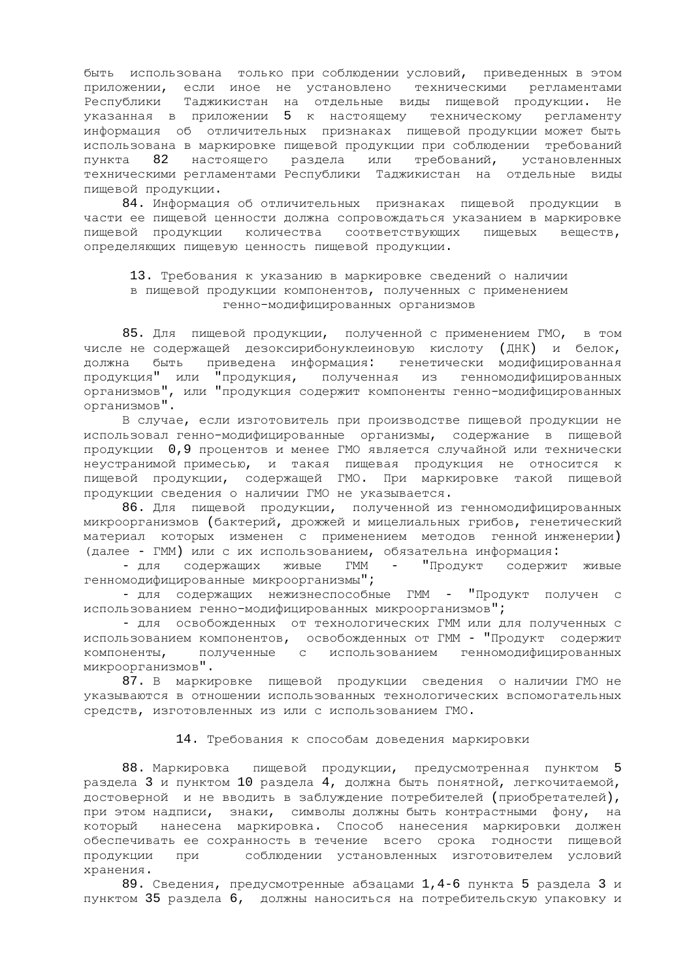быть использована только при соблюдении условий, приведенных в этом приложении, если иное не установлено техническими регламентами Республики Таджикистан на отдельные виды пищевой продукции. Не указанная в приложении 5 к настоящему техническому регламенту информация об отличительных признаках пищевой продукции может быть использована в маркировке пищевой продукции при соблюдении требований пункта 82 настоящего раздела или требований, установленных техническими регламентами Республики Таджикистан на отдельные виды пищевой продукции.

84. Информация об отличительных признаках пищевой продукции в части ее пищевой ценности должна сопровождаться указанием в маркировке пищевой продукции количества соответствующих пищевых веществ, определяющих пищевую ценность пищевой продукции.

## 13. Требования к указанию в маркировке сведений о наличии в пищевой продукции компонентов, полученных с применением генно-модифицированных организмов

85. Для пищевой продукции, полученной с применением ГМО, в том числе не содержащей дезоксирибонуклеиновую кислоту (ДНК) и белок, должна быть приведена информация: генетически модифицированная продукция" или "продукция, полученная из тенномодифицированных организмов", или "продукция содержит компоненты генно-модифицированных организмов".

В случае, если изготовитель при производстве пищевой продукции не использовал генно-модифицированные организмы, содержание в пищевой продукции 0,9 процентов и менее ГМО является случайной или технически неустранимой примесью, и такая пищевая продукция не относится к пищевой продукции, содержащей ГМО. При маркировке такой пищевой продукции сведения о наличии ГМО не указывается.

86. Для пищевой продукции, полученной из генномодифицированных микроорганизмов (бактерий, дрожжей и мицелиальных грибов, генетический материал которых изменен с применением методов генной инженерии) (далее - ГММ) или с их использованием, обязательна информация:

- для содержащих живые ГММ - "Продукт содержит живые тенномодифицированные микроорганизмы";

- для содержащих нежизнеспособные ГММ - "Продукт получен с использованием генно-модифицированных микроорганизмов";

- для освобожденных от технологических ГММ или для полученных с использованием компонентов, освобожденных от ГММ - "Продукт содержит компоненты, полученные с использованием генномодифицированных микроорганизмов".

87. В маркировке пищевой продукции сведения о наличии ГМО не указываются в отношении использованных технологических вспомогательных средств, изготовленных из или с использованием ГМО.

#### 14. Требования к способам доведения маркировки

88. Маркировка пищевой продукции, предусмотренная пунктом 5 раздела 3 и пунктом 10 раздела 4, должна быть понятной, легкочитаемой, достоверной и не вводить в заблуждение потребителей (приобретателей), при этом надписи, знаки, символы должны быть контрастными фону, на который нанесена маркировка. Способ нанесения маркировки должен обеспечивать ее сохранность в течение всего срока годности пищевой продукции при соблюдении установленных изготовителем условий хранения.

89. Сведения, предусмотренные абзацами 1,4-6 пункта 5 раздела 3 и пунктом 35 раздела 6, должны наноситься на потребительскую упаковку и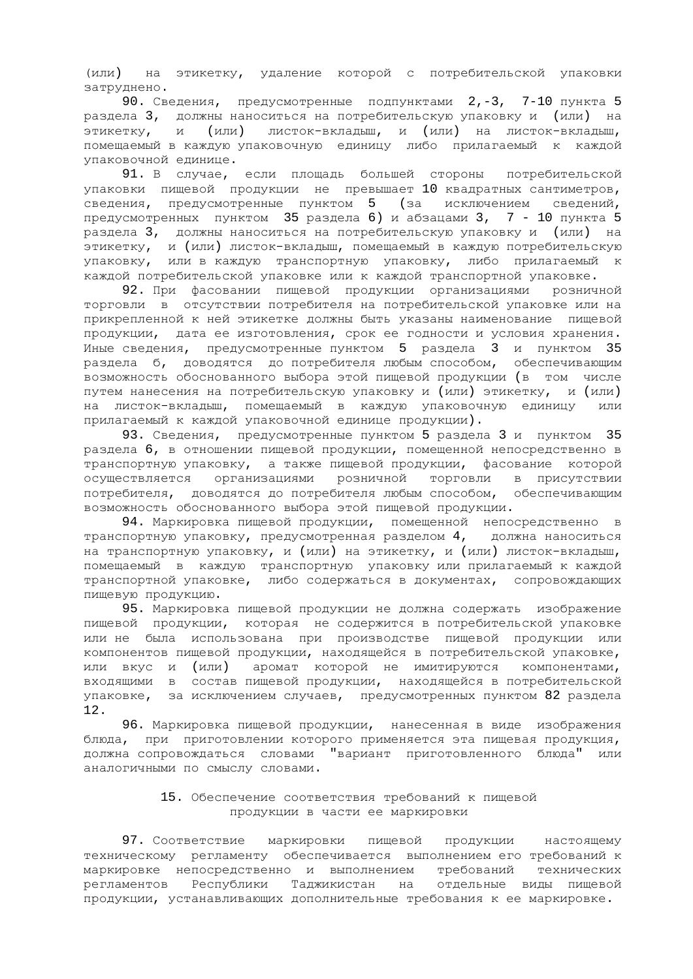(или) на этикетку, удаление которой с потребительской упаковки затруднено.

90. Сведения, предусмотренные подпунктами 2,-3, 7-10 пункта 5 раздела 3, должны наноситься на потребительскую упаковку и (или) на этикетку, и (или) листок-вкладыш, и (или) на листок-вкладыш, помещаемый в каждую упаковочную единицу либо прилагаемый к каждой упаковочной единице.

91. В случае, если площадь большей стороны потребительской упаковки пищевой продукции не превышает 10 квадратных сантиметров, сведения, предусмотренные пунктом 5 (за исключением сведений, предусмотренных пунктом 35 раздела 6) и абзацами 3, 7 - 10 пункта 5 раздела 3, должны наноситься на потребительскую упаковку и (или) на этикетку, и (или) листок-вкладыш, помещаемый в каждую потребительскую упаковку, или в каждую транспортную упаковку, либо прилагаемый к каждой потребительской упаковке или к каждой транспортной упаковке.

92. При фасовании пищевой продукции организациями розничной торговли в отсутствии потребителя на потребительской упаковке или на прикрепленной к ней этикетке должны быть указаны наименование пищевой продукции, дата ее изготовления, срок ее годности и условия хранения. Иные сведения, предусмотренные пунктом 5 раздела 3 и пунктом 35 раздела б, доводятся до потребителя любым способом, обеспечивающим возможность обоснованного выбора этой пищевой продукции (в том числе путем нанесения на потребительскую упаковку и (или) этикетку, и (или) на листок-вкладыш, помещаемый в каждую упаковочную единицу или прилагаемый к каждой упаковочной единице продукции).

93. Сведения, предусмотренные пунктом 5 раздела 3 и пунктом 35 раздела 6, в отношении пищевой продукции, помещенной непосредственно в транспортную упаковку, а также пищевой продукции, фасование которой осуществляется организациями розничной торговли в присутствии потребителя, доводятся до потребителя любым способом, обеспечивающим возможность обоснованного выбора этой пищевой продукции.

94. Маркировка пищевой продукции, помещенной непосредственно в транспортную упаковку, предусмотренная разделом 4, должна наноситься на транспортную упаковку, и (или) на этикетку, и (или) листок-вкладыш, помещаемый в каждую транспортную упаковку или прилагаемый к каждой транспортной упаковке, либо содержаться в документах, сопровождающих пищевую продукцию.

95. Маркировка пищевой продукции не должна содержать изображение пищевой продукции, которая не содержится в потребительской упаковке или не была использована при производстве пищевой продукции или компонентов пищевой продукции, находящейся в потребительской упаковке, или вкус и (или) аромат которой не имитируются компонентами, входящими в состав пищевой продукции, находящейся в потребительской упаковке, за исключением случаев, предусмотренных пунктом 82 раздела 12.

96. Маркировка пищевой продукции, нанесенная в виде изображения блюда, при приготовлении которого применяется эта пищевая продукция, должна сопровождаться словами "вариант приготовленного блюда" или аналогичными по смыслу словами.

## 15. Обеспечение соответствия требований к пищевой продукции в части ее маркировки

97. Соответствие маркировки пищевой продукции настоящему техническому регламенту обеспечивается выполнением его требований к маркировке непосредственно и выполнением требований технических регламентов Республики Таджикистан на отдельные виды пищевой продукции, устанавливающих дополнительные требования к ее маркировке.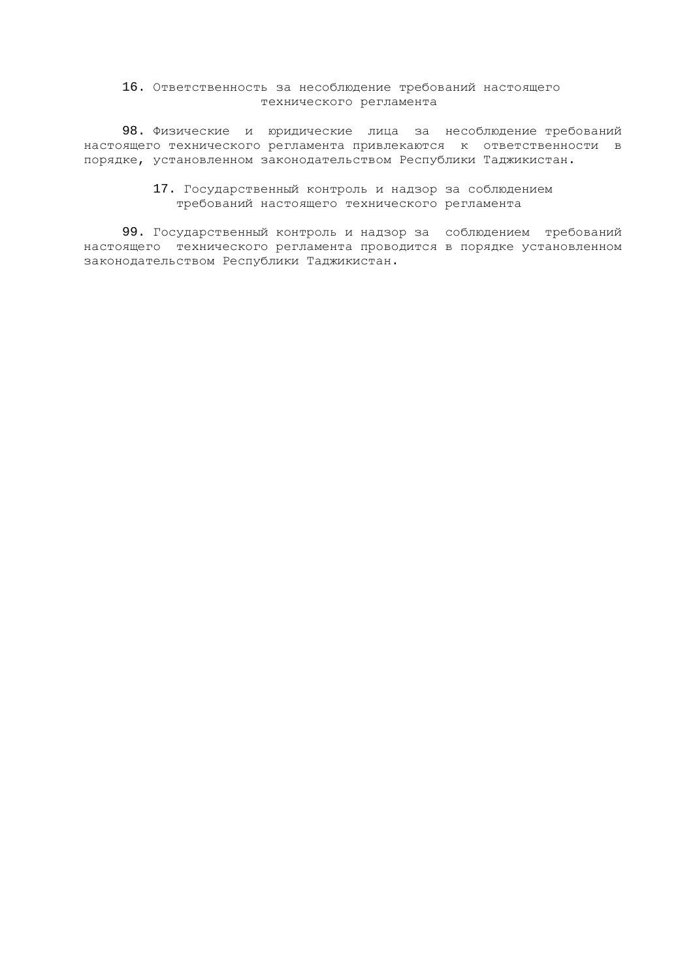# 16. Ответственность за несоблюдение требований настоящего технического регламента

98. Физические и юридические лица за несоблюдение требований настоящего технического регламента привлекаются к ответственности в порядке, установленном законодательством Республики Таджикистан.

## 17. Государственный контроль и надзор за соблюдением требований настоящего технического регламента

99. Государственный контроль и надзор за соблюдением требований настоящего технического регламента проводится в порядке установленном законодательством Республики Таджикистан.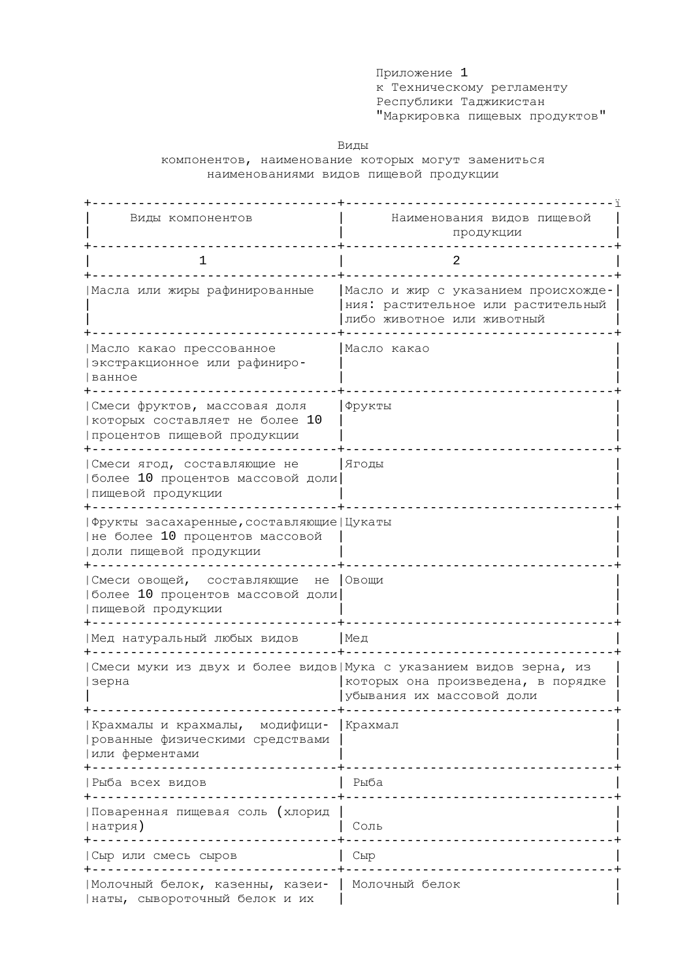Приложение 1 ъ<br>к Техническому регламенту Республики Таджикистан "Маркировка пищевых продуктов"

Виды

компонентов, наименование которых могут замениться наименованиями видов пищевой продукции

| Виды компонентов                                                                                        | Наименования видов пищевой<br>продукции                                                                                              |
|---------------------------------------------------------------------------------------------------------|--------------------------------------------------------------------------------------------------------------------------------------|
| 1                                                                                                       | 2                                                                                                                                    |
| Масла или жиры рафинированные                                                                           | Масло и жир с указанием происхожде-<br>ния: растительное или растительный<br>либо животное или животный                              |
| Иасло какао прессованное<br>экстракционное или рафиниро-<br>ванное                                      | Масло какао                                                                                                                          |
| Смеси фруктов, массовая доля<br>которых составляет не более 10<br>лроцентов пищевой продукции           | Фрукты                                                                                                                               |
| Смеси ягод, составляющие не<br> более 10 процентов массовой доли<br>лищевой продукции                   | Ягоды                                                                                                                                |
| Фрукты засахаренные, составляющие   Цукаты<br>не более 10 процентов массовой<br> доли пищевой продукции |                                                                                                                                      |
| Смеси овощей, составляющие<br>не<br> более 10 процентов массовой доли<br>лищевой продукции              | Овощи                                                                                                                                |
| Мед натуральный любых видов                                                                             | Мед                                                                                                                                  |
| зерна                                                                                                   | Смеси муки из двух и более видов Мука с указанием видов зерна, из<br>которых она произведена, в порядке<br>убывания их массовой доли |
| Крахмалы и крахмалы, модифици-<br>  рованные физическими средствами<br> или ферментами<br>------------- | Крахмал                                                                                                                              |
| Рыба всех видов<br>________________                                                                     | Рыба                                                                                                                                 |
| Поваренная пищевая соль (хлорид<br> натрия)                                                             | Соль                                                                                                                                 |
| Сыр или смесь сыров                                                                                     | Сыр                                                                                                                                  |
| Молочный белок, казенны, казеи-<br> наты, сывороточный белок и их                                       | Молочный белок                                                                                                                       |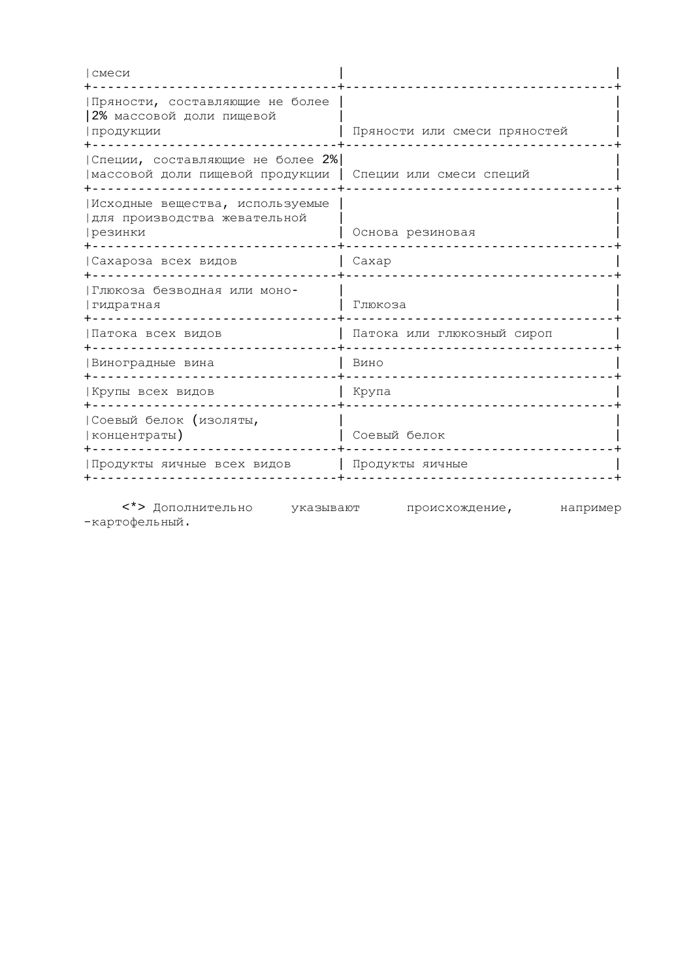| смеси                                                                       |                              |
|-----------------------------------------------------------------------------|------------------------------|
| Пряности, составляющие не более<br>2% массовой доли пищевой<br>продукции    | Пряности или смеси пряностей |
| Специи, составляющие не более 2%<br>массовой доли пищевой продукции         | Специи или смеси специй      |
| Исходные вещества, используемые<br> для производства жевательной<br>резинки | Основа резиновая             |
| Сахароза всех видов                                                         | Caxap                        |
| Глюкоза безводная или моно-<br>  гидратная                                  | Глюкоза                      |
| Патока всех видов                                                           | Патока или глюкозный сироп   |
| Виноградные вина                                                            | Вино                         |
| Крупы всех видов                                                            | Крупа                        |
| Соевый белок (изоляты,<br>  концентраты )                                   | Соевый белок                 |
| Продукты яичные всех видов                                                  | Продукты яичные              |
|                                                                             |                              |

<\*> Дополнительно указывают происхождение, например -картофельный.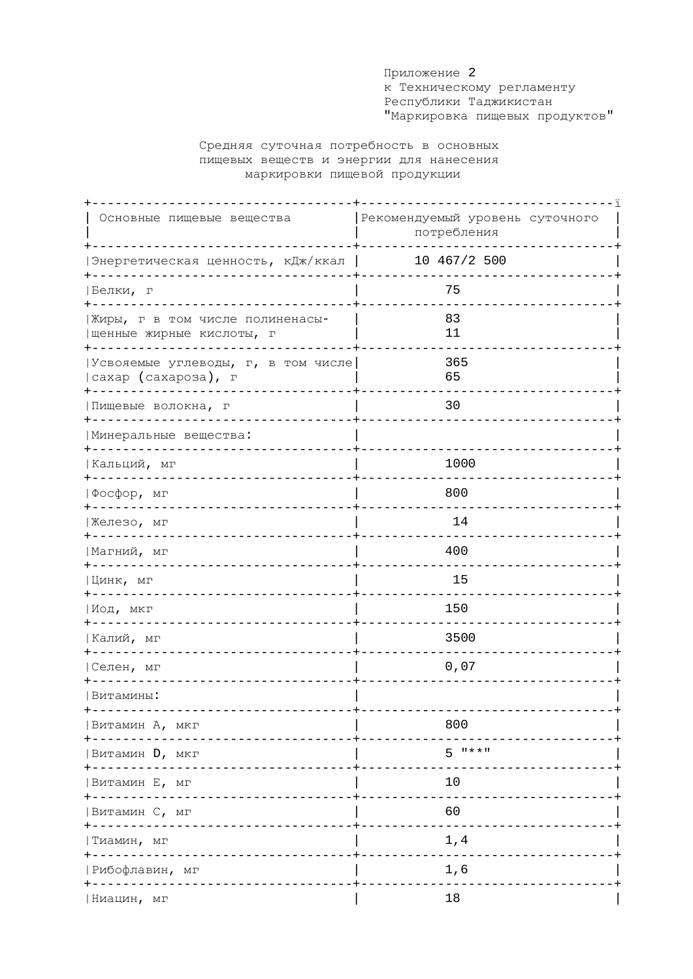Приложение 2 к Техническому регламенту Республики Таджикистан "Маркировка пищевых продуктов"

# Средняя суточная потребность в основных пищевых веществ и энергии для нанесения маркировки пищевой продукции

| Основные пищевые вещества                                   | Рекомендуемый уровень суточного<br>потребления |  |
|-------------------------------------------------------------|------------------------------------------------|--|
| Энергетическая ценность, кДж/ккал                           | 10 467/2 500                                   |  |
| Белки, г                                                    | 75                                             |  |
| Жиры, г в том числе полиненасы-<br>иенные жирные кислоты, г | 83<br>11                                       |  |
| Усвояемые углеводы, г, в том числе<br>  сахар (сахароза), г | 365<br>65                                      |  |
| Пищевые волокна, г                                          | 30                                             |  |
| Иинеральные вещества:                                       |                                                |  |
| Кальций, мг                                                 | 1000                                           |  |
| Фосфор, мг                                                  | 800                                            |  |
| Железо, мг<br>+-------                                      | 14                                             |  |
| Магний, мг<br>$+ - - - - - - -$                             | 400                                            |  |
| Цинк, мг                                                    | 15                                             |  |
| Иод, мкг                                                    | 150                                            |  |
| Калий, мг                                                   | 3500                                           |  |
| Селен, мг                                                   | 0,07                                           |  |
| Витамины:                                                   |                                                |  |
| Витамин А, мкг                                              | 800                                            |  |
| Витамин D, мкг<br>$- - - -$                                 | $5^{+1}$ **"                                   |  |
| Витамин Е, мг                                               | 10                                             |  |
| Витамин С, мг                                               | 60                                             |  |
| Тиамин, мг                                                  | 1,4                                            |  |
| Рибофлавин, мг                                              | 1,6                                            |  |
| Ниацин, мг                                                  | 18                                             |  |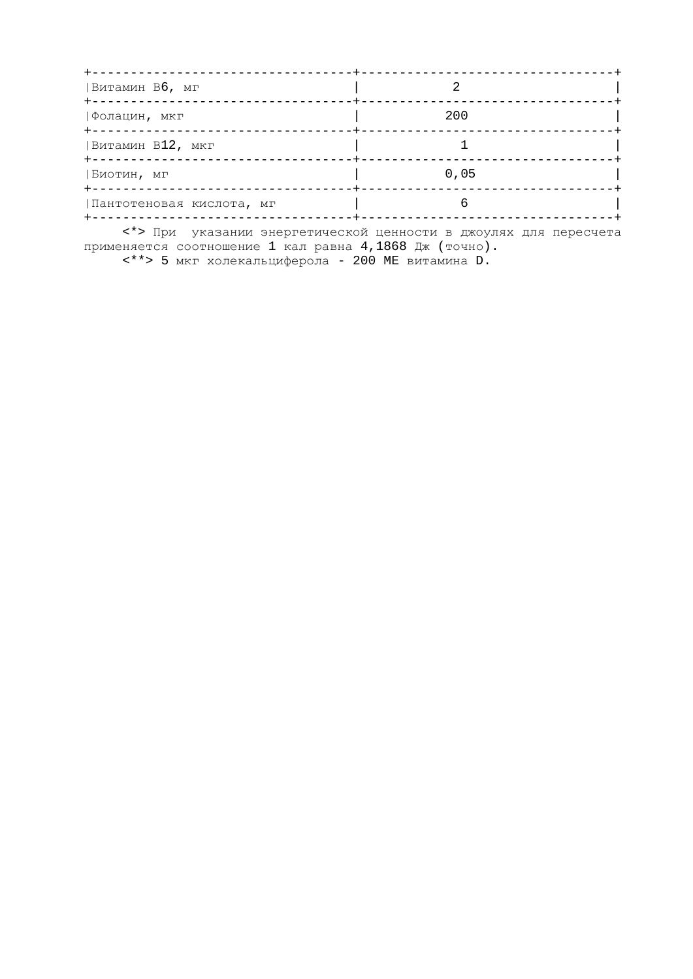| Витамин Вб, мг                    | --------+------------ |
|-----------------------------------|-----------------------|
| -------------<br> Фолацин, мкг    | 200                   |
| ------------<br> Витамин В12, мкг |                       |
| Биотин, мг                        | 0,05                  |
| Пантотеновая кислота, мг          |                       |

<\*> При указании энергетической ценности в джоулях для пересчета применяется соотношение 1 кал равна 4,1868 Дж (точно).

<\*\*> 5 мкг холекальциферола - 200 ME витамина D.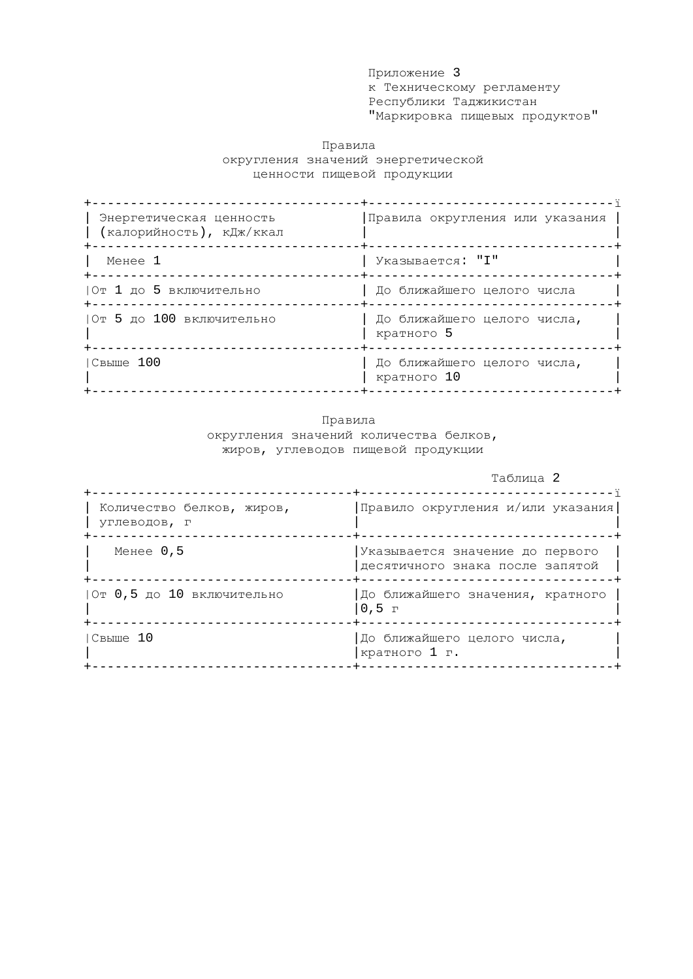Приложение 3 к Техническому регламенту Республики Таджикистан "Маркировка пищевых продуктов"

# Правила округления значений энергетической ценности пищевой продукции

| Энергетическая ценность<br>(калорийность), кДж/ккал | Правила округления или указания            |
|-----------------------------------------------------|--------------------------------------------|
| Менее 1                                             | Указывается: "І"                           |
| От 1 до 5 включительно                              | До ближайшего целого числа                 |
| От 5 до 100 включительно                            | До ближайшего целого числа,<br>кратного 5  |
| Свыше 100                                           | До ближайшего целого числа,<br>кратного 10 |

## Правила округления значений количества белков, жиров, углеводов пищевой продукции

Таблица 2

| Количество белков, жиров,<br>УГЛЕВОДОВ, Г | Правило округления и/или указания                                  |
|-------------------------------------------|--------------------------------------------------------------------|
| Менее $0,5$                               | Указывается значение до первого<br>десятичного знака после запятой |
| От 0,5 до 10 включительно                 | До ближайшего значения, кратного<br>$0,5$ r                        |
| $ C$ B $E$ Ille 10                        | До ближайшего целого числа,<br>кратного 1 г.                       |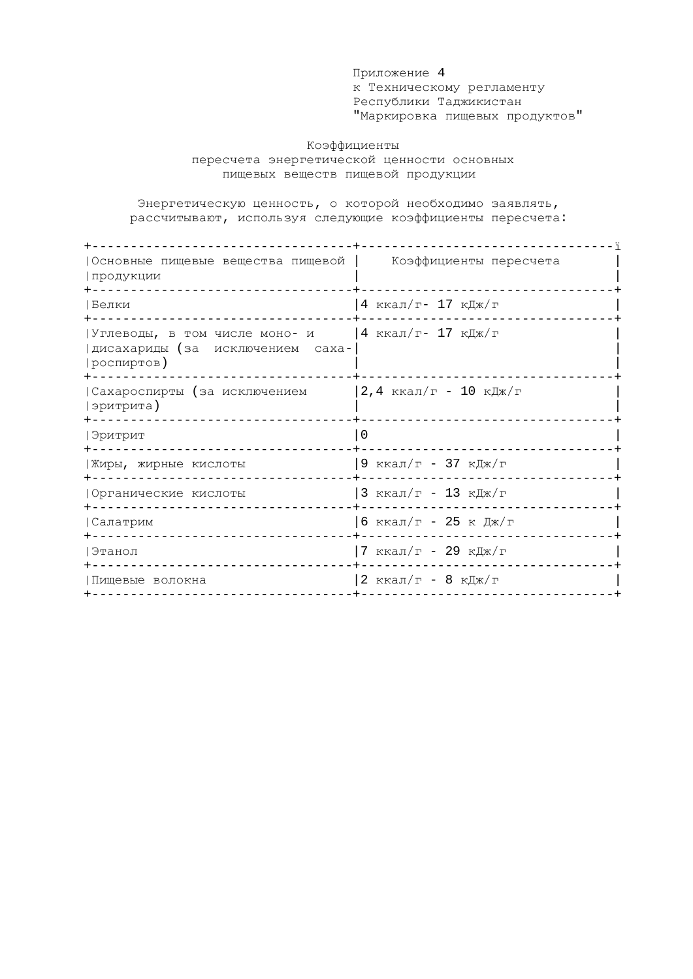Приложение 4 к Техническому регламенту Республики Таджикистан "Маркировка пищевых продуктов"

## Коэффициенты пересчета энергетической ценности основных пищевых веществ пищевой продукции

Энергетическую ценность, о которой необходимо заявлять, рассчитывают, используя следующие коэффициенты пересчета:

| Основные пищевые вещества пищевой  <br>  продукции<br>--------------------        | Коэффициенты пересчета |
|-----------------------------------------------------------------------------------|------------------------|
| Белки                                                                             | 4 ккал/г- 17 кДж/г     |
| Углеводы, в том числе моно- и<br> дисахариды (за исключением саха-<br> роспиртов) | 4 ккал/г- 17 кДж/г     |
| Сахароспирты (за исключением<br> эритрита)                                        | 2,4 ккал/г - 10 кДж/г  |
| Эритрит<br>----------------------                                                 | $\Omega$               |
| Жиры, жирные кислоты<br>---------------                                           | 9 ккал/г - 37 кДж/г    |
| Органические кислоты<br>------------------                                        | 3 ккал/г - 13 кДж/г    |
| Салатрим<br>----------------                                                      | 6 ккал/г - 25 к Дж/г   |
| Этанол<br>--------------                                                          | 7 ккал/г - 29 кДж/г    |
| Пищевые волокна                                                                   | 2 ккал/г - 8 кДж/г     |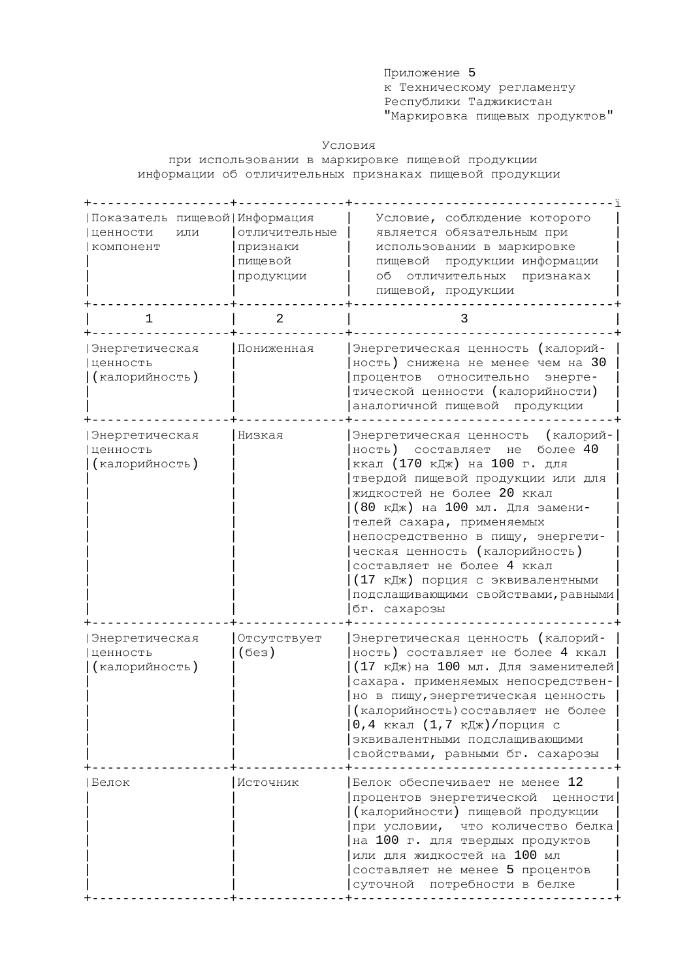Приложение 5 к Техническому регламенту Республики Таджикистан "Маркировка пищевых продуктов"

## Условия

при использовании в маркировке пищевой продукции информации об отличительных признаках пищевой продукции

| Показатель пищевой   Информация<br>ценности<br>ИЛИ<br>компонент | отличительные<br>признаки<br>пищевой<br>продукции | Условие, соблюдение которого<br>является обязательным при<br>использовании в маркировке<br>пищевой продукции информации<br>об отличительных<br>признаках<br>пищевой, продукции                                                                                                                                                                                                                                                                 |
|-----------------------------------------------------------------|---------------------------------------------------|------------------------------------------------------------------------------------------------------------------------------------------------------------------------------------------------------------------------------------------------------------------------------------------------------------------------------------------------------------------------------------------------------------------------------------------------|
| $\mathbf 1$                                                     | $\overline{a}$                                    | 3                                                                                                                                                                                                                                                                                                                                                                                                                                              |
| Энергетическая<br>ценность<br>(калорийность)                    | Пониженная                                        | Энергетическая ценность (калорий-<br>ность) снижена не менее чем на 30<br>относительно<br>процентов<br>энерге-<br>тической ценности (калорийности)<br>аналогичной пищевой продукции                                                                                                                                                                                                                                                            |
| Энергетическая<br>ценность<br>(калорийность)                    | Низкая                                            | Энергетическая ценность (калорий-<br>более 40<br>ность)<br>составляет<br>He<br>ккал (170 кДж) на 100 г. для<br>твердой пищевой продукции или для<br>жидкостей не более 20 ккал<br>(80 кДж) на 100 мл. Для замени-<br>телей сахара, применяемых<br>непосредственно в пищу, энергети-<br>ческая ценность (калорийность)<br>составляет не более 4 ккал<br>(17 кДж) порция с эквивалентными<br>подслащивающими свойствами, равными<br>бг. сахарозы |
| Энергетическая<br>ценность<br>(калорийность)                    | Отсутствует<br>(6e <sub>3</sub> )                 | Энергетическая ценность (калорий-<br>ность) составляет не более 4 ккал<br>(17 кДж) на 100 мл. Для заменителей<br>сахара. применяемых непосредствен-<br>но в пищу, энергетическая ценность<br>(калорийность) составляет не более<br>0,4 ккал (1,7 кДж) / порция с<br>эквивалентными подслащивающими<br>свойствами, равными бг. сахарозы                                                                                                         |
| Белок                                                           | Источник                                          | Белок обеспечивает не менее 12<br>процентов энергетической ценности<br>(калорийности) пищевой продукции<br>при условии, что количество белка<br>на 100 г. для твердых продуктов<br>или для жидкостей на 100 мл<br>составляет не менее 5 процентов<br>суточной потребности в белке                                                                                                                                                              |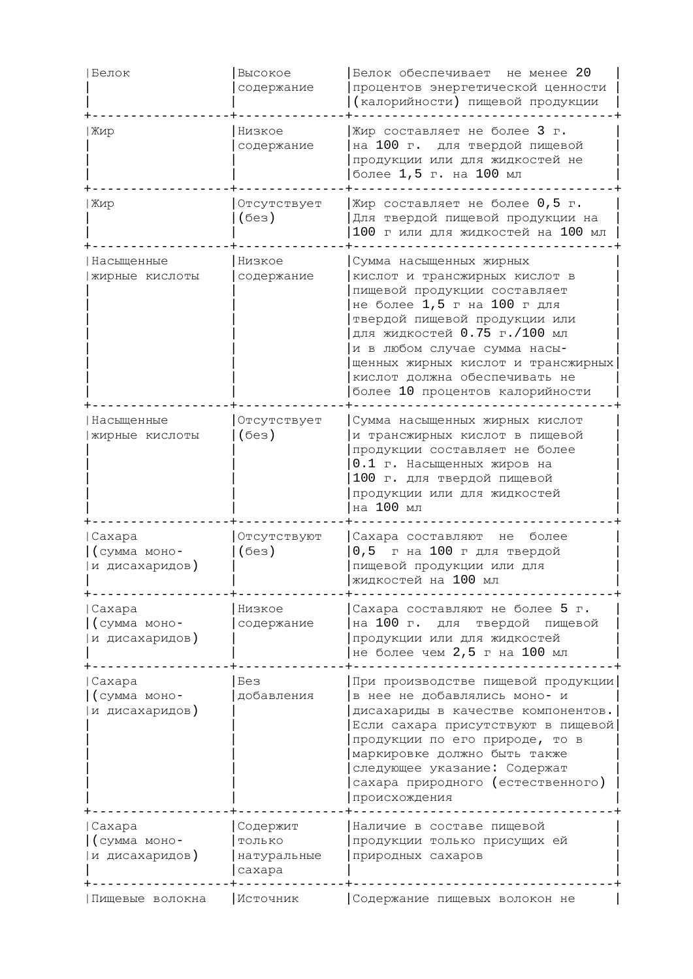| Белок                                     | Высокое<br>содержание                       | Белок обеспечивает не менее 20<br>процентов энергетической ценности<br>(калорийности) пищевой продукции                                                                                                                                                                                                                            |
|-------------------------------------------|---------------------------------------------|------------------------------------------------------------------------------------------------------------------------------------------------------------------------------------------------------------------------------------------------------------------------------------------------------------------------------------|
| Жир                                       | Низкое<br>содержание                        | Жир составляет не более 3 г.<br>на 100 г. для твердой пищевой<br>продукции или для жидкостей не<br>более 1,5 г. на 100 мл                                                                                                                                                                                                          |
| Жир                                       | Отсутствует<br>(6e3)                        | Жир составляет не более 0,5 г.<br>Для твердой пищевой продукции на<br>100 г или для жидкостей на 100 мл                                                                                                                                                                                                                            |
| Насыщенные<br>жирные кислоты              | Низкое<br>содержание                        | Сумма насыщенных жирных<br>кислот и трансжирных кислот в<br>пищевой продукции составляет<br>не более 1,5 г на 100 г для<br>твердой пищевой продукции или<br>для жидкостей 0.75 г./100 мл<br>и в любом случае сумма насы-<br>щенных жирных кислот и трансжирных<br>кислот должна обеспечивать не<br>более 10 процентов калорийности |
| Насыщенные<br>жирные кислоты              | Отсутствует<br>(6e3)                        | Сумма насыщенных жирных кислот<br>и трансжирных кислот в пищевой<br>продукции составляет не более<br>0.1 г. Насыщенных жиров на<br>100 г. для твердой пищевой<br>продукции или для жидкостей<br>на 100 мл                                                                                                                          |
| Caxapa<br>(сумма моно-<br>и дисахаридов)  | Отсутствуют<br>(6e3)                        | Сахара составляют не более<br>0,5 г на 100 г для твердой<br>пищевой продукции или для<br>жидкостей на 100 мл                                                                                                                                                                                                                       |
| Caxapa<br>(сумма моно-<br>и дисахаридов)  | Низкое<br>содержание                        | Сахара составляют не более 5 г.<br>на 100 г. для<br>твердой пищевой<br>продукции или для жидкостей<br>не более чем 2,5 г на 100 мл                                                                                                                                                                                                 |
| Caxapa<br>(сумма моно-<br>и дисахаридов)  | Без<br>добавления                           | При производстве пищевой продукции<br>в нее не добавлялись моно- и<br>дисахариды в качестве компонентов.<br>Если сахара присутствуют в пищевой<br>продукции по его природе, то в<br>маркировке должно быть также<br>следующее указание: Содержат<br>сахара природного (естественного)<br>происхождения                             |
| Caxapa<br>(сумма моно-<br> и дисахаридов) | Содержит<br>ТОЛЬКО<br>натуральные<br>caxapa | Наличие в составе пищевой<br>продукции только присущих ей<br>природных сахаров                                                                                                                                                                                                                                                     |
| Пищевые волокна                           | Источник                                    | Содержание пищевых волокон не                                                                                                                                                                                                                                                                                                      |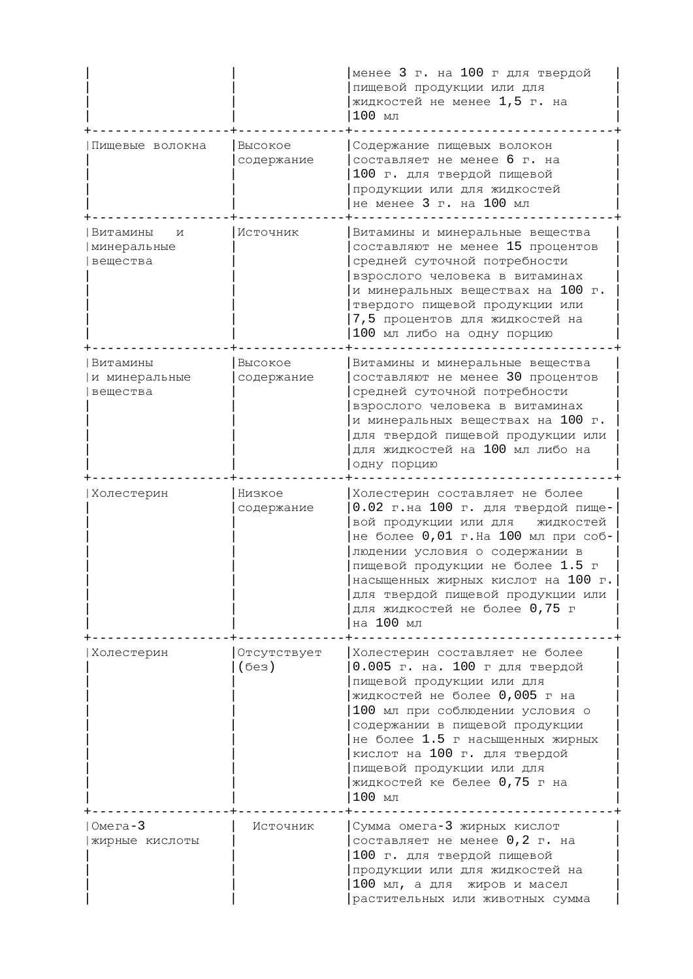|                                          |                                   | менее 3 г. на 100 г для твердой<br>пищевой продукции или для<br>жидкостей не менее 1,5 г. на<br>100 MJ                                                                                                                                                                                                                                           |
|------------------------------------------|-----------------------------------|--------------------------------------------------------------------------------------------------------------------------------------------------------------------------------------------------------------------------------------------------------------------------------------------------------------------------------------------------|
| Пищевые волокна                          | Высокое<br>содержание             | Содержание пищевых волокон<br>составляет не менее 6 г. на<br>100 г. для твердой пищевой<br>продукции или для жидкостей<br>не менее 3 г. на 100 мл                                                                                                                                                                                                |
| Витамины<br>И<br>минеральные<br>вещества | Источник                          | Витамины и минеральные вещества<br>составляют не менее 15 процентов<br>средней суточной потребности<br>взрослого человека в витаминах<br>и минеральных веществах на 100 г.<br>твердого пищевой продукции или<br>7,5 процентов для жидкостей на<br>100 мл либо на одну порцию                                                                     |
| Витамины<br>и минеральные<br>вещества    | Высокое<br>содержание             | Витамины и минеральные вещества<br>составляют не менее 30 процентов<br>средней суточной потребности<br>взрослого человека в витаминах<br>и минеральных веществах на 100 г.<br>для твердой пищевой продукции или<br>для жидкостей на 100 мл либо на<br>одну порцию                                                                                |
| Холестерин                               | Низкое<br>содержание              | Холестерин составляет не более<br>0.02 г.на 100 г. для твердой пище-<br>вой продукции или для<br>жидкостей<br>не более 0,01 г. На 100 мл при соб-<br>людении условия о содержании в<br>пищевой продукции не более 1.5 г<br>насыщенных жирных кислот на 100 г.<br>для твердой пищевой продукции или<br>для жидкостей не более 0,75 г<br>на 100 мл |
| Холестерин                               | Отсутствует<br>(6e <sub>3</sub> ) | Холестерин составляет не более<br>0.005 г. на. 100 г для твердой<br>пищевой продукции или для<br>жидкостей не более 0,005 г на<br>100 мл при соблюдении условия о<br>содержании в пищевой продукции<br>не более 1.5 г насыщенных жирных<br>кислот на 100 г. для твердой<br>пищевой продукции или для<br>жидкостей ке белее 0,75 г на<br>100 мл   |
| $Omera-3$<br>жирные кислоты              | Источник                          | Сумма омега-3 жирных кислот<br>составляет не менее 0,2 г. на<br>100 г. для твердой пищевой<br>продукции или для жидкостей на<br>100 мл, а для жиров и масел<br>растительных или животных сумма                                                                                                                                                   |